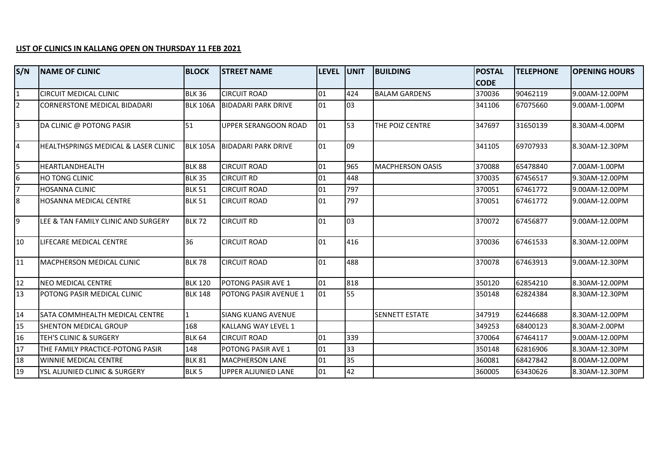## **LIST OF CLINICS IN KALLANG OPEN ON THURSDAY 11 FEB 2021**

| S/N            | <b>INAME OF CLINIC</b>                          | <b>BLOCK</b>     | <b>STREET NAME</b>           | LEVEL UNIT |     | <b>BUILDING</b>         | <b>POSTAL</b> | <b>TELEPHONE</b> | <b>OPENING HOURS</b> |
|----------------|-------------------------------------------------|------------------|------------------------------|------------|-----|-------------------------|---------------|------------------|----------------------|
|                |                                                 |                  |                              |            |     |                         | <b>CODE</b>   |                  |                      |
| $\mathbf{1}$   | <b>CIRCUIT MEDICAL CLINIC</b>                   | <b>BLK 36</b>    | <b>CIRCUIT ROAD</b>          | 01         | 424 | <b>BALAM GARDENS</b>    | 370036        | 90462119         | 9.00AM-12.00PM       |
| $\overline{2}$ | <b>CORNERSTONE MEDICAL BIDADARI</b>             | <b>BLK 106A</b>  | <b>BIDADARI PARK DRIVE</b>   | 01         | 03  |                         | 341106        | 67075660         | 9.00AM-1.00PM        |
| $\overline{3}$ | DA CLINIC @ POTONG PASIR                        | 51               | UPPER SERANGOON ROAD         | 01         | 53  | THE POIZ CENTRE         | 347697        | 31650139         | 8.30AM-4.00PM        |
| l4             | <b>HEALTHSPRINGS MEDICAL &amp; LASER CLINIC</b> | <b>BLK 105A</b>  | <b>BIDADARI PARK DRIVE</b>   | 01         | 09  |                         | 341105        | 69707933         | 8.30AM-12.30PM       |
| 5              | <b>HEARTLANDHEALTH</b>                          | <b>BLK 88</b>    | <b>CIRCUIT ROAD</b>          | 01         | 965 | <b>MACPHERSON OASIS</b> | 370088        | 65478840         | 7.00AM-1.00PM        |
| 6              | <b>HO TONG CLINIC</b>                           | <b>BLK 35</b>    | <b>CIRCUIT RD</b>            | 01         | 448 |                         | 370035        | 67456517         | 9.30AM-12.00PM       |
| 7              | <b>HOSANNA CLINIC</b>                           | <b>BLK 51</b>    | <b>CIRCUIT ROAD</b>          | 01         | 797 |                         | 370051        | 67461772         | 9.00AM-12.00PM       |
| 8              | <b>HOSANNA MEDICAL CENTRE</b>                   | <b>BLK 51</b>    | <b>CIRCUIT ROAD</b>          | 01         | 797 |                         | 370051        | 67461772         | 9.00AM-12.00PM       |
| l9             | LEE & TAN FAMILY CLINIC AND SURGERY             | <b>BLK 72</b>    | <b>CIRCUIT RD</b>            | 01         | 03  |                         | 370072        | 67456877         | 9.00AM-12.00PM       |
| 10             | LIFECARE MEDICAL CENTRE                         | 36               | <b>CIRCUIT ROAD</b>          | 01         | 416 |                         | 370036        | 67461533         | 8.30AM-12.00PM       |
| 11             | MACPHERSON MEDICAL CLINIC                       | <b>BLK 78</b>    | <b>CIRCUIT ROAD</b>          | 01         | 488 |                         | 370078        | 67463913         | 9.00AM-12.30PM       |
| 12             | NEO MEDICAL CENTRE                              | <b>BLK 120</b>   | POTONG PASIR AVE 1           | 101        | 818 |                         | 350120        | 62854210         | 8.30AM-12.00PM       |
| 113            | <b>IPOTONG PASIR MEDICAL CLINIC</b>             | <b>BLK 148</b>   | <b>POTONG PASIR AVENUE 1</b> | 01         | 55  |                         | 350148        | 62824384         | 8.30AM-12.30PM       |
| 14             | <b>SATA COMMHEALTH MEDICAL CENTRE</b>           | $\mathbf{1}$     | <b>SIANG KUANG AVENUE</b>    |            |     | <b>SENNETT ESTATE</b>   | 347919        | 62446688         | 8.30AM-12.00PM       |
| 15             | <b>SHENTON MEDICAL GROUP</b>                    | 168              | KALLANG WAY LEVEL 1          |            |     |                         | 349253        | 68400123         | 8.30AM-2.00PM        |
| 16             | <b>TEH'S CLINIC &amp; SURGERY</b>               | <b>BLK 64</b>    | <b>CIRCUIT ROAD</b>          | 01         | 339 |                         | 370064        | 67464117         | 9.00AM-12.00PM       |
| 17             | THE FAMILY PRACTICE-POTONG PASIR                | 148              | POTONG PASIR AVE 1           | 01         | 33  |                         | 350148        | 62816906         | 8.30AM-12.30PM       |
| 18             | <b>IWINNIE MEDICAL CENTRE</b>                   | <b>BLK 81</b>    | <b>MACPHERSON LANE</b>       | 01         | 35  |                         | 360081        | 68427842         | 8.00AM-12.00PM       |
| 19             | YSL ALJUNIED CLINIC & SURGERY                   | BLK <sub>5</sub> | UPPER ALJUNIED LANE          | 01         | 42  |                         | 360005        | 63430626         | 8.30AM-12.30PM       |